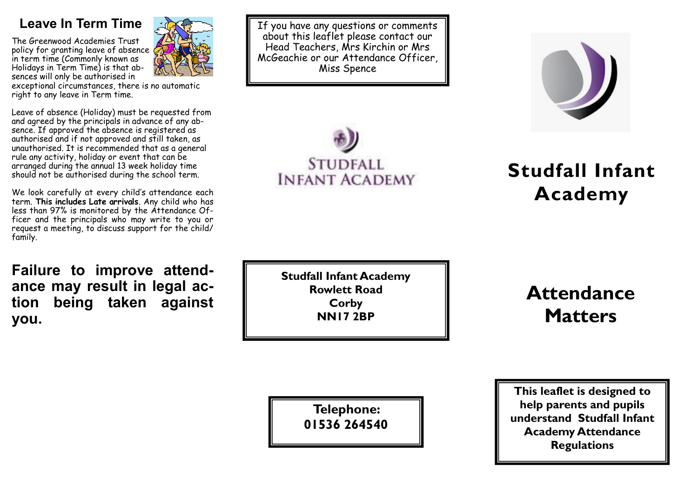### **Leave In Term Time**

The Greenwood Academies Trust policy for granting leave of absence in term time (Commonly known as Holidays in Term Time) is that absences will only be authorised in



exceptional circumstances, there is no automatic right to any leave in Term time.

Leave of absence (Holiday) must be requested from and agreed by the principals in advance of any absence. If approved the absence is registered as authorised and if not approved and still taken, as unauthorised. It is recommended that as a general rule any activity, holiday or event that can be arranged during the annual 13 week holiday time should not be authorised during the school term.

We look carefully at every child's attendance each term. **This includes Late arrivals**. Any child who has less than 97% is monitored by the Attendance Officer and the principals who may write to you or request a meeting, to discuss support for the child/ family.

**Failure to improve attendance may result in legal action being taken against you.**

If you have any questions or comments about this leaflet please contact our Head Teachers, Mrs Kirchin or Mrs McGeachie or our Attendance Officer, Miss Spence





# **Studfall Infant Academy**

**Studfall Infant Academy Rowlett Road Corby NN17 2BP**

## **Attendance Matters**

**Telephone: 01536 264540**

**This leaflet is designed to help parents and pupils understand Studfall Infant Academy Attendance Regulations**